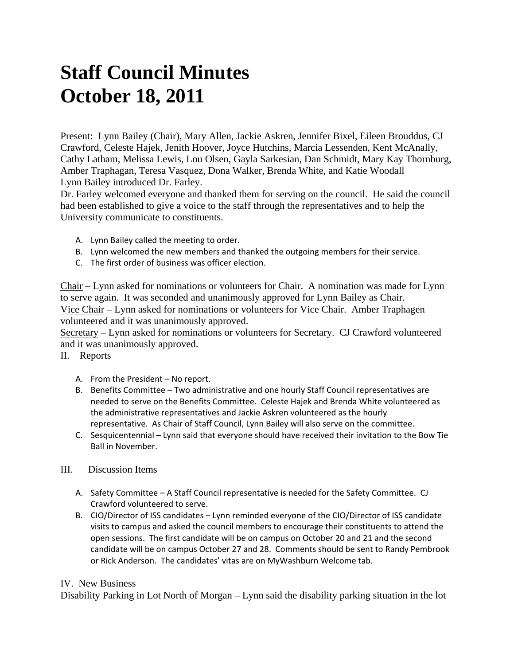## **Staff Council Minutes October 18, 2011**

Present: Lynn Bailey (Chair), Mary Allen, Jackie Askren, Jennifer Bixel, Eileen Brouddus, CJ Crawford, Celeste Hajek, Jenith Hoover, Joyce Hutchins, Marcia Lessenden, Kent McAnally, Cathy Latham, Melissa Lewis, Lou Olsen, Gayla Sarkesian, Dan Schmidt, Mary Kay Thornburg, Amber Traphagan, Teresa Vasquez, Dona Walker, Brenda White, and Katie Woodall Lynn Bailey introduced Dr. Farley.

Dr. Farley welcomed everyone and thanked them for serving on the council. He said the council had been established to give a voice to the staff through the representatives and to help the University communicate to constituents.

- A. Lynn Bailey called the meeting to order.
- B. Lynn welcomed the new members and thanked the outgoing members for their service.
- C. The first order of business was officer election.

Chair – Lynn asked for nominations or volunteers for Chair. A nomination was made for Lynn to serve again. It was seconded and unanimously approved for Lynn Bailey as Chair. Vice Chair – Lynn asked for nominations or volunteers for Vice Chair. Amber Traphagen volunteered and it was unanimously approved.

Secretary – Lynn asked for nominations or volunteers for Secretary. CJ Crawford volunteered and it was unanimously approved.

II. Reports

- A. From the President No report.
- B. Benefits Committee Two administrative and one hourly Staff Council representatives are needed to serve on the Benefits Committee. Celeste Hajek and Brenda White volunteered as the administrative representatives and Jackie Askren volunteered as the hourly representative. As Chair of Staff Council, Lynn Bailey will also serve on the committee.
- C. Sesquicentennial Lynn said that everyone should have received their invitation to the Bow Tie Ball in November.

## III. Discussion Items

- A. Safety Committee A Staff Council representative is needed for the Safety Committee. CJ Crawford volunteered to serve.
- B. CIO/Director of ISS candidates Lynn reminded everyone of the CIO/Director of ISS candidate visits to campus and asked the council members to encourage their constituents to attend the open sessions. The first candidate will be on campus on October 20 and 21 and the second candidate will be on campus October 27 and 28. Comments should be sent to Randy Pembrook or Rick Anderson. The candidates' vitas are on MyWashburn Welcome tab.

## IV. New Business

Disability Parking in Lot North of Morgan – Lynn said the disability parking situation in the lot